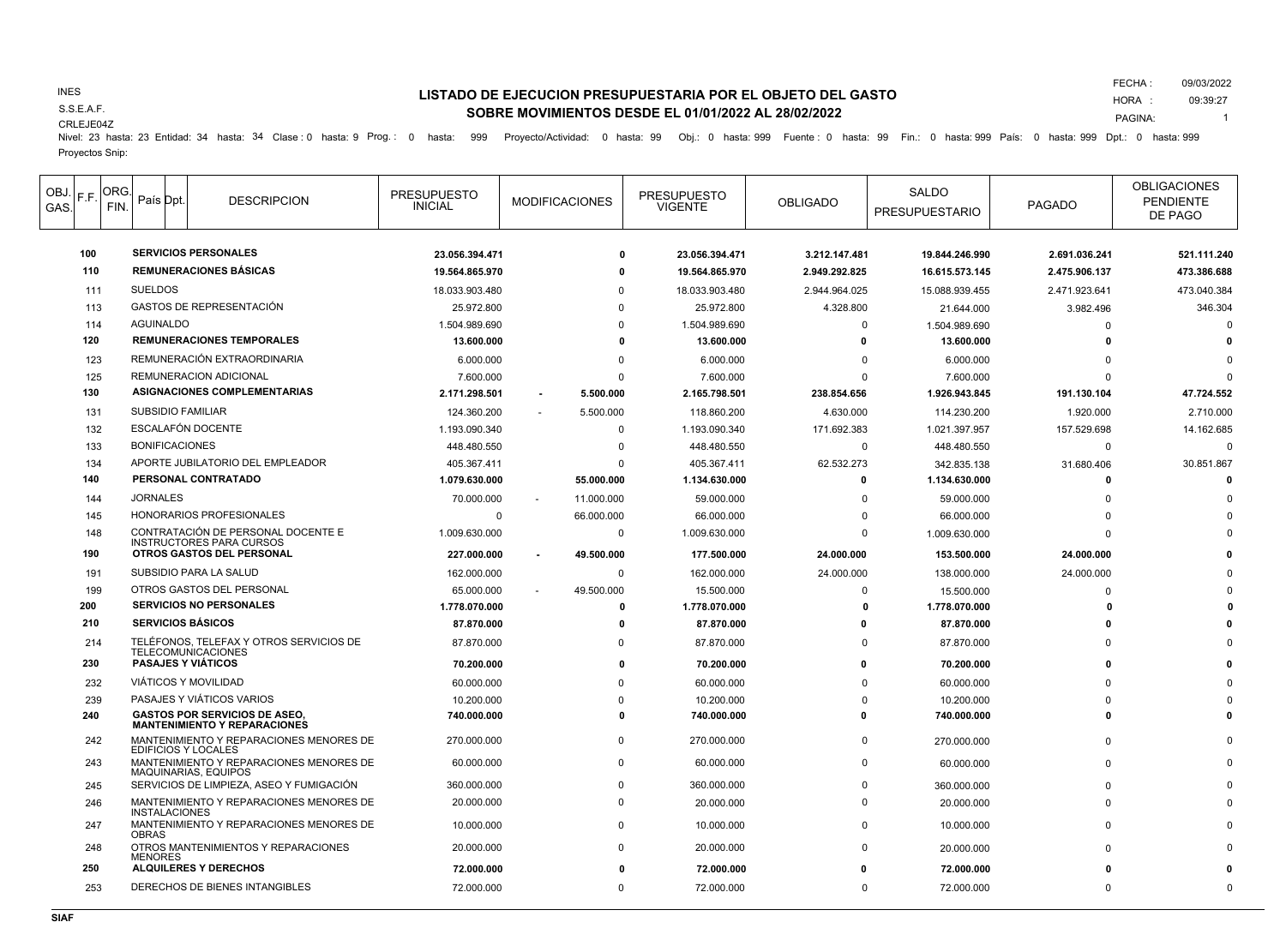### INES

S.S.E.A.F.

#### CRLEJE04Z

# **LISTADO DE EJECUCION PRESUPUESTARIA POR EL OBJETO DEL GASTO SOBRE MOVIMIENTOS DESDE EL 01/01/2022 AL 28/02/2022**

FECHA : HORA : 09/03/2022 09:39:27

PAGINA: 1

Nivel: 23 hasta: 23 Entidad: 34 hasta: 34 Clase : 0 hasta: 9 Prog.: 0 hasta: 999 Proyecto/Actividad: 0 hasta: 99 Obj.: 0 hasta: 999 Fuente : 0 hasta: 99 Fin.: 0 hasta: 999 País: 0 hasta: 999 Dpt.: 0 hasta: 999 Proyectos Snip:

|  | OBJ.<br>F.F.<br>GAS.            | ORG.<br>FIN. |                                                       | País Dpt              | <b>DESCRIPCION</b>                                                          | <b>PRESUPUESTO</b><br><b>INICIAL</b> | <b>MODIFICACIONES</b> | <b>PRESUPUESTO</b><br><b>VIGENTE</b> | <b>OBLIGADO</b> | <b>SALDO</b><br><b>PRESUPUESTARIO</b> | <b>PAGADO</b> | <b>OBLIGACIONES</b><br><b>PENDIENTE</b><br>DE PAGO |
|--|---------------------------------|--------------|-------------------------------------------------------|-----------------------|-----------------------------------------------------------------------------|--------------------------------------|-----------------------|--------------------------------------|-----------------|---------------------------------------|---------------|----------------------------------------------------|
|  | 100                             |              |                                                       |                       | <b>SERVICIOS PERSONALES</b>                                                 | 23.056.394.471                       | 0                     | 23.056.394.471                       | 3.212.147.481   | 19.844.246.990                        | 2.691.036.241 | 521.111.240                                        |
|  |                                 | 110          |                                                       |                       | <b>REMUNERACIONES BÁSICAS</b>                                               | 19.564.865.970                       | 0                     | 19.564.865.970                       | 2.949.292.825   | 16.615.573.145                        | 2.475.906.137 | 473.386.688                                        |
|  |                                 | 111          | <b>SUELDOS</b>                                        |                       |                                                                             | 18.033.903.480                       |                       | 18.033.903.480                       | 2.944.964.025   | 15.088.939.455                        | 2.471.923.641 | 473.040.384                                        |
|  |                                 | 113          |                                                       |                       | GASTOS DE REPRESENTACIÓN                                                    | 25.972.800                           | $\Omega$              | 25.972.800                           | 4.328.800       | 21.644.000                            | 3.982.496     | 346.304                                            |
|  |                                 | 114          |                                                       | <b>AGUINALDO</b>      |                                                                             | 1.504.989.690                        | $\Omega$              | 1.504.989.690                        | $\Omega$        | 1.504.989.690                         | $\Omega$      | $\Omega$                                           |
|  | 120                             |              |                                                       |                       | <b>REMUNERACIONES TEMPORALES</b>                                            | 13.600.000                           | 0                     | 13.600.000                           | 0               | 13.600.000                            | $\Omega$      |                                                    |
|  |                                 | 123          |                                                       |                       | REMUNERACIÓN EXTRAORDINARIA                                                 | 6.000.000                            | $\Omega$              | 6.000.000                            | $\Omega$        | 6.000.000                             |               |                                                    |
|  |                                 | 125          |                                                       |                       | <b>REMUNERACION ADICIONAL</b>                                               | 7.600.000                            | $\Omega$              | 7.600.000                            | $\Omega$        | 7.600.000                             |               | $\Omega$                                           |
|  |                                 | 130          |                                                       |                       | ASIGNACIONES COMPLEMENTARIAS                                                | 2.171.298.501                        | 5.500.000             | 2.165.798.501                        | 238.854.656     | 1.926.943.845                         | 191.130.104   | 47.724.552                                         |
|  |                                 | 131          | <b>SUBSIDIO FAMILIAR</b>                              |                       |                                                                             | 124.360.200                          | 5.500.000             | 118.860.200                          | 4.630.000       | 114.230.200                           | 1.920.000     | 2.710.000                                          |
|  |                                 | 132          | ESCALAFÓN DOCENTE                                     |                       |                                                                             | 1.193.090.340                        | 0                     | 1.193.090.340                        | 171.692.383     | 1.021.397.957                         | 157.529.698   | 14.162.685                                         |
|  |                                 | 133          |                                                       | <b>BONIFICACIONES</b> |                                                                             | 448.480.550                          | $\Omega$              | 448.480.550                          | $\Omega$        | 448.480.550                           | $\Omega$      | $\Omega$                                           |
|  |                                 | 134          |                                                       |                       | APORTE JUBILATORIO DEL EMPLEADOR                                            | 405.367.411                          | $\Omega$              | 405.367.411                          | 62.532.273      | 342.835.138                           | 31.680.406    | 30.851.867                                         |
|  |                                 | 140          |                                                       |                       | PERSONAL CONTRATADO                                                         | 1.079.630.000                        | 55.000.000            | 1.134.630.000                        | $\mathbf{0}$    | 1.134.630.000                         | $\Omega$      | $\Omega$                                           |
|  |                                 | 144          | <b>JORNALES</b>                                       |                       |                                                                             | 70.000.000                           | 11.000.000            | 59.000.000                           | $\Omega$        | 59.000.000                            | $\Omega$      |                                                    |
|  |                                 | 145          |                                                       |                       | HONORARIOS PROFESIONALES                                                    | 0                                    | 66.000.000            | 66.000.000                           | 0               | 66.000.000                            |               |                                                    |
|  | 148<br>190                      |              |                                                       |                       | CONTRATACIÓN DE PERSONAL DOCENTE E                                          | 1.009.630.000                        | $\mathbf 0$           | 1.009.630.000                        | $\Omega$        | 1.009.630.000                         | $\Omega$      |                                                    |
|  |                                 |              |                                                       |                       | <b>INSTRUCTORES PARA CURSOS</b><br>OTROS GASTOS DEL PERSONAL                | 227.000.000                          | 49.500.000            | 177.500.000                          | 24.000.000      | 153.500.000                           | 24.000.000    |                                                    |
|  |                                 | 191          |                                                       |                       | SUBSIDIO PARA LA SALUD                                                      | 162.000.000                          | $\mathbf 0$           | 162.000.000                          | 24.000.000      | 138.000.000                           | 24.000.000    |                                                    |
|  |                                 | 199          |                                                       |                       | OTROS GASTOS DEL PERSONAL                                                   | 65.000.000                           | 49.500.000            | 15.500.000                           | $\Omega$        | 15.500.000                            | $\Omega$      |                                                    |
|  | 200                             |              | <b>SERVICIOS NO PERSONALES</b>                        |                       |                                                                             | 1.778.070.000                        | $\mathbf{0}$          | 1.778.070.000                        | $\Omega$        | 1.778.070.000                         |               |                                                    |
|  | 210                             |              |                                                       |                       | <b>SERVICIOS BÁSICOS</b>                                                    | 87.870.000                           | $\Omega$              | 87.870.000                           | O               | 87.870.000                            |               |                                                    |
|  |                                 | 214          |                                                       |                       | TELÉFONOS. TELEFAX Y OTROS SERVICIOS DE<br><b>TELECOMUNICACIONES</b>        | 87.870.000                           | $\Omega$              | 87.870.000                           | $\Omega$        | 87.870.000                            |               |                                                    |
|  | 230<br>232<br>239<br>240<br>242 |              |                                                       |                       | <b>PASAJES Y VIÁTICOS</b>                                                   | 70.200.000                           | 0                     | 70.200.000                           | 0               | 70.200.000                            |               |                                                    |
|  |                                 |              |                                                       |                       | <b>VIÁTICOS Y MOVILIDAD</b>                                                 | 60.000.000                           | $\Omega$              | 60.000.000                           | $\Omega$        | 60.000.000                            |               |                                                    |
|  |                                 |              |                                                       |                       | PASAJES Y VIÁTICOS VARIOS                                                   | 10.200.000                           | $\Omega$              | 10.200.000                           | $\Omega$        | 10.200.000                            |               |                                                    |
|  |                                 |              |                                                       |                       | <b>GASTOS POR SERVICIOS DE ASEO.</b><br><b>MANTENIMIENTO Y REPARACIONES</b> | 740.000.000                          | $\Omega$              | 740.000.000                          | O               | 740.000.000                           | $\Omega$      |                                                    |
|  |                                 |              |                                                       |                       | MANTENIMIENTO Y REPARACIONES MENORES DE<br><b>EDIFICIOS Y LOCALES</b>       | 270.000.000                          | $\Omega$              | 270.000.000                          | $\Omega$        | 270.000.000                           |               |                                                    |
|  |                                 | 243          |                                                       |                       | MANTENIMIENTO Y REPARACIONES MENORES DE<br>MAQUINARIAS, EQUIPOS             | 60.000.000                           | $\Omega$              | 60.000.000                           | $\Omega$        | 60.000.000                            |               |                                                    |
|  | 245                             |              |                                                       |                       | SERVICIOS DE LIMPIEZA. ASEO Y FUMIGACIÓN                                    | 360.000.000                          | <sup>0</sup>          | 360.000.000                          | <sup>0</sup>    | 360.000.000                           |               |                                                    |
|  |                                 | 246          |                                                       | <b>INSTALACIONES</b>  | MANTENIMIENTO Y REPARACIONES MENORES DE                                     | 20.000.000                           | $\Omega$              | 20.000.000                           | $\Omega$        | 20.000.000                            |               |                                                    |
|  |                                 | 247          | <b>OBRAS</b>                                          |                       | MANTENIMIENTO Y REPARACIONES MENORES DE                                     | 10.000.000                           | $\Omega$              | 10.000.000                           | $\Omega$        | 10.000.000                            |               |                                                    |
|  |                                 | 248          | OTROS MANTENIMIENTOS Y REPARACIONES<br><b>MENORES</b> |                       |                                                                             | 20.000.000                           | $\Omega$              | 20.000.000                           | $\Omega$        | 20.000.000                            |               |                                                    |
|  |                                 | 250          |                                                       |                       | <b>ALQUILERES Y DERECHOS</b>                                                | 72.000.000                           |                       | 72.000.000                           | O               | 72.000.000                            |               |                                                    |
|  |                                 | 253          |                                                       |                       | DERECHOS DE BIENES INTANGIBLES                                              | 72.000.000                           | $\Omega$              | 72.000.000                           | $\mathbf{0}$    | 72.000.000                            | $\Omega$      | $\Omega$                                           |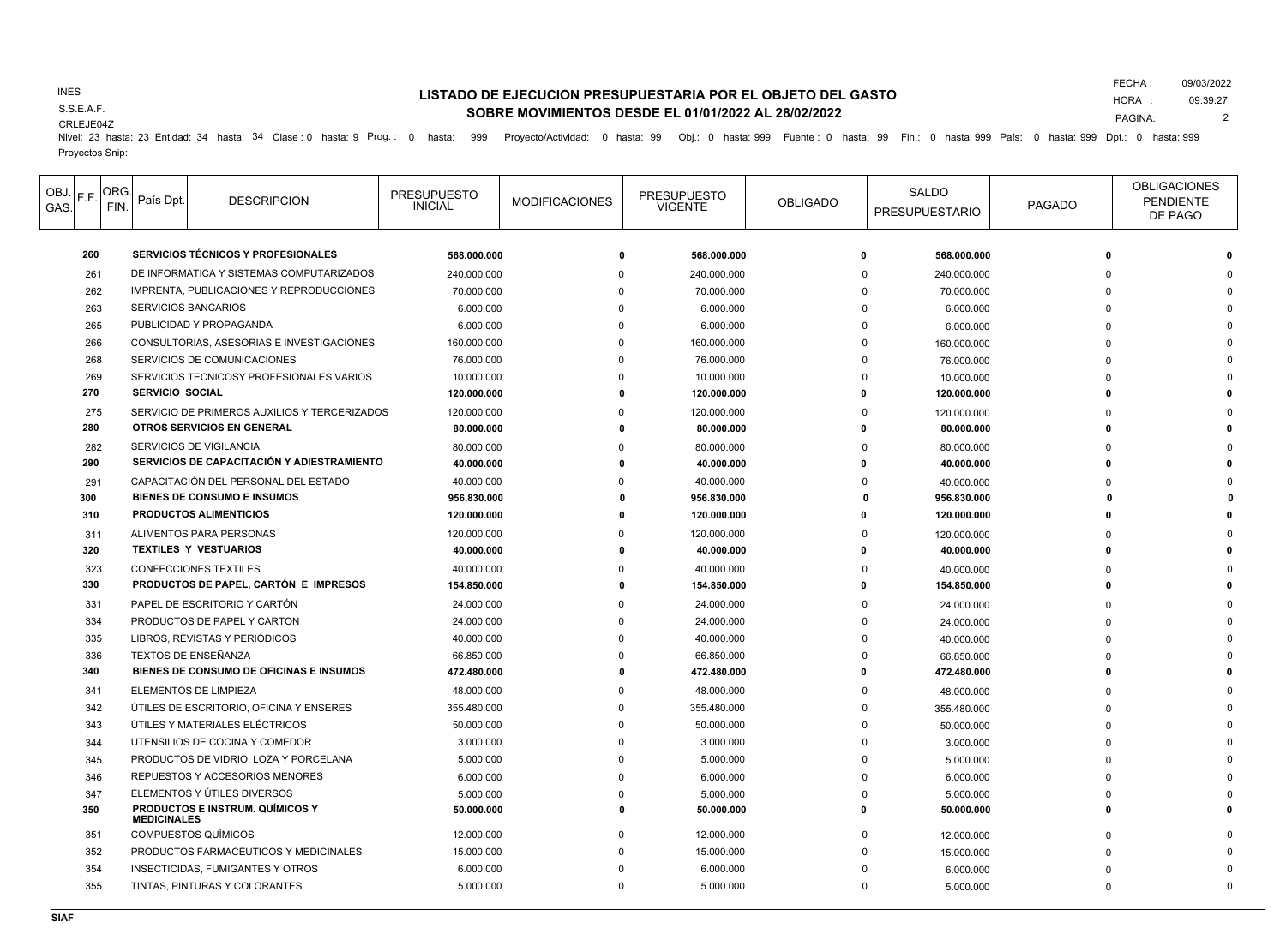### INES

S.S.E.A.F.

### CRLEJE04Z

# **LISTADO DE EJECUCION PRESUPUESTARIA POR EL OBJETO DEL GASTO SOBRE MOVIMIENTOS DESDE EL 01/01/2022 AL 28/02/2022**

FECHA : 09/03/2022

PAGINA:

HORA : 09:39:27

2

Nivel: 23 hasta: 23 Entidad: 34 hasta: 34 Clase : 0 hasta: 9 Prog.: 0 hasta: 999 Proyecto/Actividad: 0 hasta: 99 Obj.: 0 hasta: 999 Fuente : 0 hasta: 99 Fin.: 0 hasta: 999 País: 0 hasta: 999 Dpt.: 0 hasta: 999 Proyectos Snip:

| OBJ.<br>GAS. | F.F. | ORG.<br>FIN. | País Dpt               | <b>DESCRIPCION</b>                           | <b>PRESUPUESTO</b><br><b>INICIAL</b> | <b>MODIFICACIONES</b> | <b>PRESUPUESTO</b><br><b>VIGENTE</b> | <b>OBLIGADO</b> | SALDO<br><b>PRESUPUESTARIO</b> | <b>PAGADO</b> | <b>OBLIGACIONES</b><br><b>PENDIENTE</b><br>DE PAGO |
|--------------|------|--------------|------------------------|----------------------------------------------|--------------------------------------|-----------------------|--------------------------------------|-----------------|--------------------------------|---------------|----------------------------------------------------|
|              | 260  |              |                        | SERVICIOS TÉCNICOS Y PROFESIONALES           | 568.000.000                          | O                     | 568.000.000                          | 0               | 568.000.000                    |               |                                                    |
|              | 261  |              |                        | DE INFORMATICA Y SISTEMAS COMPUTARIZADOS     | 240.000.000                          |                       | 240.000.000                          | $\Omega$        | 240.000.000                    |               |                                                    |
|              | 262  |              |                        | IMPRENTA, PUBLICACIONES Y REPRODUCCIONES     | 70.000.000                           |                       | 70.000.000                           | n               | 70.000.000                     |               |                                                    |
|              | 263  |              |                        | <b>SERVICIOS BANCARIOS</b>                   | 6.000.000                            |                       | 6.000.000                            | <sup>n</sup>    | 6.000.000                      |               |                                                    |
|              | 265  |              |                        | PUBLICIDAD Y PROPAGANDA                      | 6.000.000                            |                       | 6.000.000                            | <sup>n</sup>    | 6.000.000                      |               |                                                    |
|              | 266  |              |                        | CONSULTORIAS, ASESORIAS E INVESTIGACIONES    | 160.000.000                          |                       | 160.000.000                          | U               | 160.000.000                    |               |                                                    |
|              | 268  |              |                        | SERVICIOS DE COMUNICACIONES                  | 76.000.000                           |                       | 76.000.000                           |                 | 76.000.000                     |               |                                                    |
|              | 269  |              |                        | SERVICIOS TECNICOSY PROFESIONALES VARIOS     | 10.000.000                           |                       | 10.000.000                           |                 | 10.000.000                     |               |                                                    |
|              | 270  |              | <b>SERVICIO SOCIAL</b> |                                              | 120.000.000                          |                       | 120.000.000                          |                 | 120.000.000                    |               |                                                    |
|              | 275  |              |                        | SERVICIO DE PRIMEROS AUXILIOS Y TERCERIZADOS | 120.000.000                          |                       | 120.000.000                          | $\Omega$        | 120,000,000                    |               |                                                    |
|              | 280  |              |                        | OTROS SERVICIOS EN GENERAL                   | 80.000.000                           |                       | 80.000.000                           |                 | 80.000.000                     |               |                                                    |
|              | 282  |              |                        | SERVICIOS DE VIGILANCIA                      | 80.000.000                           |                       | 80.000.000                           |                 | 80.000.000                     |               |                                                    |
|              | 290  |              |                        | SERVICIOS DE CAPACITACIÓN Y ADIESTRAMIENTO   | 40.000.000                           |                       | 40.000.000                           |                 | 40.000.000                     |               |                                                    |
|              | 291  |              |                        | CAPACITACIÓN DEL PERSONAL DEL ESTADO         | 40.000.000                           |                       | 40.000.000                           |                 | 40.000.000                     |               |                                                    |
|              | 300  |              |                        | <b>BIENES DE CONSUMO E INSUMOS</b>           | 956.830.000                          |                       | 956.830.000                          |                 | 956.830.000                    |               |                                                    |
|              | 310  |              |                        | <b>PRODUCTOS ALIMENTICIOS</b>                | 120.000.000                          |                       | 120.000.000                          |                 | 120.000.000                    |               |                                                    |
|              | 311  |              |                        | ALIMENTOS PARA PERSONAS                      | 120.000.000                          |                       | 120.000.000                          |                 | 120.000.000                    |               |                                                    |
|              | 320  |              |                        | <b>TEXTILES Y VESTUARIOS</b>                 | 40.000.000                           |                       | 40.000.000                           |                 | 40.000.000                     |               |                                                    |
|              | 323  |              |                        | <b>CONFECCIONES TEXTILES</b>                 | 40.000.000                           |                       | 40.000.000                           |                 | 40.000.000                     |               |                                                    |
|              | 330  |              |                        | PRODUCTOS DE PAPEL, CARTÓN E IMPRESOS        | 154.850.000                          |                       | 154.850.000                          |                 | 154.850.000                    |               |                                                    |
|              | 331  |              |                        | PAPEL DE ESCRITORIO Y CARTÓN                 | 24.000.000                           |                       | 24.000.000                           |                 | 24.000.000                     |               |                                                    |
|              | 334  |              |                        | PRODUCTOS DE PAPEL Y CARTON                  | 24.000.000                           |                       | 24.000.000                           |                 | 24.000.000                     |               |                                                    |
|              | 335  |              |                        | LIBROS, REVISTAS Y PERIÓDICOS                | 40.000.000                           |                       | 40.000.000                           |                 | 40.000.000                     |               |                                                    |
|              | 336  |              |                        | TEXTOS DE ENSEÑANZA                          | 66.850.000                           |                       | 66.850.000                           | <sup>n</sup>    | 66.850.000                     |               |                                                    |
|              | 340  |              |                        | BIENES DE CONSUMO DE OFICINAS E INSUMOS      | 472.480.000                          |                       | 472.480.000                          |                 | 472.480.000                    |               |                                                    |
|              | 341  |              |                        | ELEMENTOS DE LIMPIEZA                        | 48.000.000                           |                       | 48.000.000                           |                 | 48.000.000                     |               |                                                    |
|              | 342  |              |                        | ÚTILES DE ESCRITORIO, OFICINA Y ENSERES      | 355.480.000                          |                       | 355.480.000                          |                 | 355.480.000                    |               |                                                    |
|              | 343  |              |                        | ÚTILES Y MATERIALES ELÉCTRICOS               | 50.000.000                           |                       | 50.000.000                           |                 | 50.000.000                     |               |                                                    |
|              | 344  |              |                        | UTENSILIOS DE COCINA Y COMEDOR               | 3.000.000                            |                       | 3.000.000                            |                 | 3.000.000                      |               |                                                    |
|              | 345  |              |                        | PRODUCTOS DE VIDRIO, LOZA Y PORCELANA        | 5.000.000                            |                       | 5.000.000                            | n               | 5.000.000                      |               |                                                    |
|              | 346  |              |                        | REPUESTOS Y ACCESORIOS MENORES               | 6.000.000                            |                       | 6.000.000                            |                 | 6.000.000                      |               |                                                    |
|              | 347  |              |                        | ELEMENTOS Y ÚTILES DIVERSOS                  | 5.000.000                            |                       | 5.000.000                            |                 | 5.000.000                      |               |                                                    |
|              | 350  |              | <b>MEDICINALES</b>     | <b>PRODUCTOS E INSTRUM, QUÍMICOS Y</b>       | 50.000.000                           | n                     | 50.000.000                           | n               | 50.000.000                     |               |                                                    |
|              | 351  |              |                        | <b>COMPUESTOS QUÍMICOS</b>                   | 12.000.000                           |                       | 12.000.000                           | <sup>0</sup>    | 12.000.000                     |               |                                                    |
|              | 352  |              |                        | PRODUCTOS FARMACÉUTICOS Y MEDICINALES        | 15.000.000                           |                       | 15.000.000                           |                 | 15.000.000                     |               |                                                    |
|              | 354  |              |                        | INSECTICIDAS, FUMIGANTES Y OTROS             | 6.000.000                            |                       | 6.000.000                            |                 | 6.000.000                      |               |                                                    |
|              | 355  |              |                        | TINTAS, PINTURAS Y COLORANTES                | 5.000.000                            | $\Omega$              | 5.000.000                            | $\Omega$        | 5.000.000                      |               | $\Omega$                                           |